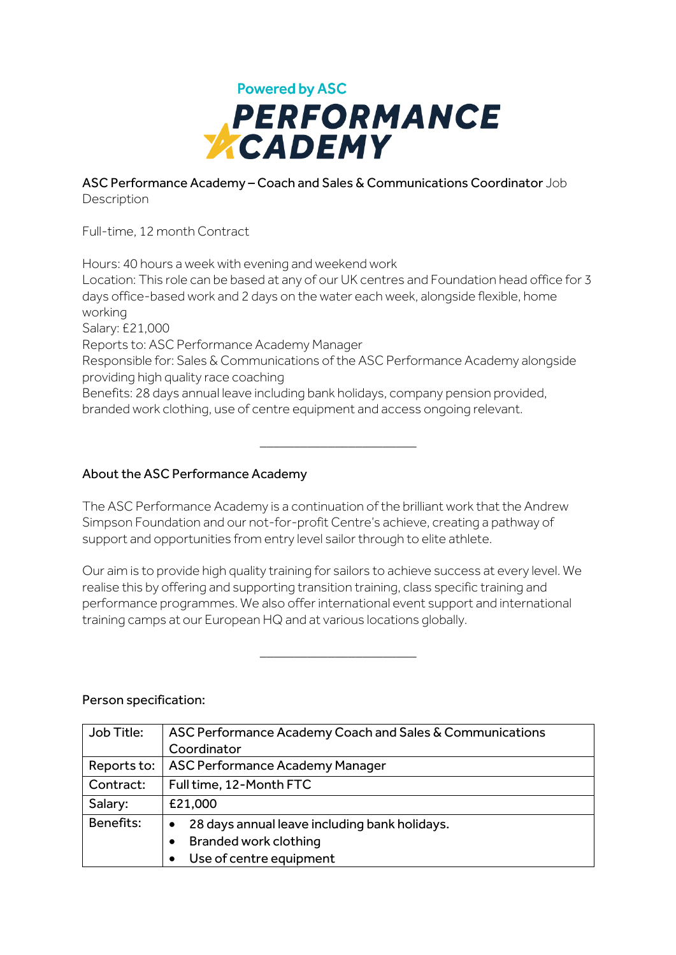

## ASC Performance Academy – Coach and Sales & Communications Coordinator Job **Description**

Full-time, 12 month Contract

Hours: 40 hours a week with evening and weekend work Location: This role can be based at any of our UK centres and Foundation head office for 3 days office-based work and 2 days on the water each week, alongside flexible, home working Salary: £21,000 Reports to: ASC Performance Academy Manager Responsible for: Sales & Communications of the ASC Performance Academy alongside providing high quality race coaching Benefits: 28 days annual leave including bank holidays, company pension provided, branded work clothing, use of centre equipment and access ongoing relevant. \_\_\_\_\_\_\_\_\_\_\_\_\_\_\_\_\_\_\_\_\_\_\_

## About the ASC Performance Academy

The ASC Performance Academy is a continuation of the brilliant work that the Andrew Simpson Foundation and our not-for-profit Centre's achieve, creating a pathway of support and opportunities from entry level sailor through to elite athlete.

Our aim is to provide high quality training for sailors to achieve success at every level. We realise this by offering and supporting transition training, class specific training and performance programmes. We also offer international event support and international training camps at our European HQ and at various locations globally.

\_\_\_\_\_\_\_\_\_\_\_\_\_\_\_\_\_\_\_\_\_\_\_

## Person specification:

| Job Title:  | ASC Performance Academy Coach and Sales & Communications |
|-------------|----------------------------------------------------------|
|             | Coordinator                                              |
| Reports to: | ASC Performance Academy Manager                          |
| Contract:   | Full time, 12-Month FTC                                  |
| Salary:     | £21,000                                                  |
| Benefits:   | 28 days annual leave including bank holidays.            |
|             | <b>Branded work clothing</b>                             |
|             | Use of centre equipment                                  |